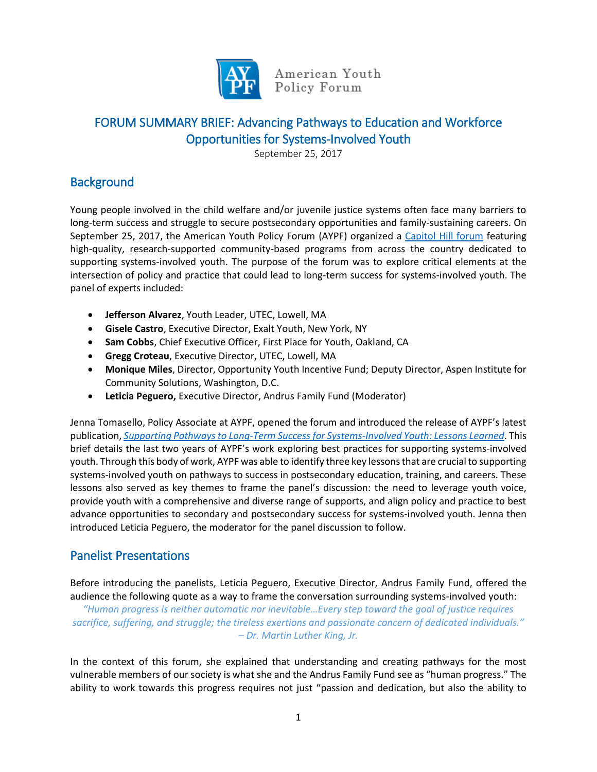

American Youth Policy Forum

# FORUM SUMMARY BRIEF: Advancing Pathways to Education and Workforce Opportunities for Systems-Involved Youth

September 25, 2017

# **Background**

Young people involved in the child welfare and/or juvenile justice systems often face many barriers to long-term success and struggle to secure postsecondary opportunities and family-sustaining careers. On September 25, 2017, the American Youth Policy Forum (AYPF) organized a [Capitol Hill forum](http://www.aypf.org/resources/advancing-pathways-to-education-workforce-opportunities/?documenttype=11%2C12%2C20%2C17%2C22&search=advanced) featuring high-quality, research-supported community-based programs from across the country dedicated to supporting systems-involved youth. The purpose of the forum was to explore critical elements at the intersection of policy and practice that could lead to long-term success for systems-involved youth. The panel of experts included:

- **Jefferson Alvarez**, Youth Leader, UTEC, Lowell, MA
- **Gisele Castro**, Executive Director, Exalt Youth, New York, NY
- **Sam Cobbs**, Chief Executive Officer, First Place for Youth, Oakland, CA
- **Gregg Croteau**, Executive Director, UTEC, Lowell, MA
- **Monique Miles**, Director, Opportunity Youth Incentive Fund; Deputy Director, Aspen Institute for Community Solutions, Washington, D.C.
- **Leticia Peguero,** Executive Director, Andrus Family Fund (Moderator)

Jenna Tomasello, Policy Associate at AYPF, opened the forum and introduced the release of AYPF's latest publication, *[Supporting Pathways to Long-Term Success for Systems-Involved Youth: Lessons Learned](http://www.aypf.org/wp-content/uploads/2017/09/Brief-Supporting-Pathways-to-Long-Term-Success.pdf)*. This brief details the last two years of AYPF's work exploring best practices for supporting systems-involved youth. Through this body of work, AYPF was able to identify three key lessons that are crucial to supporting systems-involved youth on pathways to success in postsecondary education, training, and careers. These lessons also served as key themes to frame the panel's discussion: the need to leverage youth voice, provide youth with a comprehensive and diverse range of supports, and align policy and practice to best advance opportunities to secondary and postsecondary success for systems-involved youth. Jenna then introduced Leticia Peguero, the moderator for the panel discussion to follow.

# Panelist Presentations

Before introducing the panelists, Leticia Peguero, Executive Director, Andrus Family Fund, offered the audience the following quote as a way to frame the conversation surrounding systems-involved youth:

*"Human progress is neither automatic nor inevitable…Every step toward the goal of justice requires sacrifice, suffering, and struggle; the tireless exertions and passionate concern of dedicated individuals." – Dr. Martin Luther King, Jr.*

In the context of this forum, she explained that understanding and creating pathways for the most vulnerable members of our society is what she and the Andrus Family Fund see as "human progress." The ability to work towards this progress requires not just "passion and dedication, but also the ability to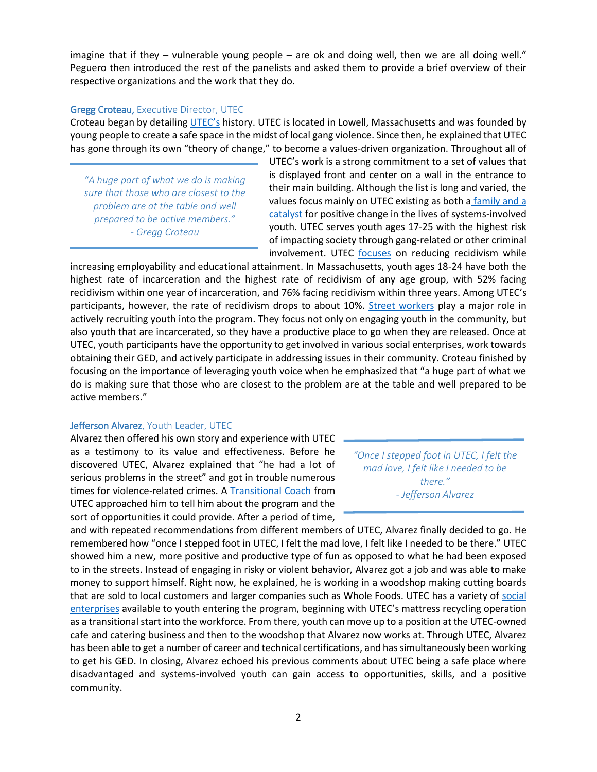imagine that if they – vulnerable young people – are ok and doing well, then we are all doing well." Peguero then introduced the rest of the panelists and asked them to provide a brief overview of their respective organizations and the work that they do.

#### Gregg Croteau, Executive Director, UTEC

Croteau began by detailing [UTEC's](https://www.utec-lowell.org/) history. UTEC is located in Lowell, Massachusetts and was founded by young people to create a safe space in the midst of local gang violence. Since then, he explained that UTEC has gone through its own "theory of change," to become a values-driven organization. Throughout all of

*"A huge part of what we do is making sure that those who are closest to the problem are at the table and well prepared to be active members." - Gregg Croteau*

UTEC's work is a strong commitment to a set of values that is displayed front and center on a wall in the entrance to their main building. Although the list is long and varied, the values focus mainly on UTEC existing as both [a](https://www.utec-lowell.org/about/mission-values) [family and a](https://www.utec-lowell.org/about/mission-values)  [catalyst](https://www.utec-lowell.org/about/mission-values) for positive change in the lives of systems-involved youth. UTEC serves youth ages 17-25 with the highest risk of impacting society through gang-related or other criminal involvement. UTEC [focuses](https://www.utec-lowell.org/uploads/uploads/utec_fact_sheet_8.2016.pdf) on reducing recidivism while

increasing employability and educational attainment. In Massachusetts, youth ages 18-24 have both the highest rate of incarceration and the highest rate of recidivism of any age group, with 52% facing recidivism within one year of incarceration, and 76% facing recidivism within three years. Among UTEC's participants, however, the rate of recidivism drops to about 10%. [Street workers](https://www.utec-lowell.org/programs/streetworkers) play a major role in actively recruiting youth into the program. They focus not only on engaging youth in the community, but also youth that are incarcerated, so they have a productive place to go when they are released. Once at UTEC, youth participants have the opportunity to get involved in various social enterprises, work towards obtaining their GED, and actively participate in addressing issues in their community. Croteau finished by focusing on the importance of leveraging youth voice when he emphasized that "a huge part of what we do is making sure that those who are closest to the problem are at the table and well prepared to be active members."

## Jefferson Alvarez, Youth Leader, UTEC

Alvarez then offered his own story and experience with UTEC as a testimony to its value and effectiveness. Before he discovered UTEC, Alvarez explained that "he had a lot of serious problems in the street" and got in trouble numerous times for violence-related crimes. A [Transitional Coach](https://www.utec-lowell.org/programs/transitionalcoaches) from UTEC approached him to tell him about the program and the sort of opportunities it could provide. After a period of time,

*"Once I stepped foot in UTEC, I felt the mad love, I felt like I needed to be there." - Jefferson Alvarez*

and with repeated recommendations from different members of UTEC, Alvarez finally decided to go. He remembered how "once I stepped foot in UTEC, I felt the mad love, I felt like I needed to be there." UTEC showed him a new, more positive and productive type of fun as opposed to what he had been exposed to in the streets. Instead of engaging in risky or violent behavior, Alvarez got a job and was able to make money to support himself. Right now, he explained, he is working in a woodshop making cutting boards that are sold to local customers and larger companies such as Whole Foods. UTEC has a variety of [social](https://www.utec-lowell.org/programs/workforce-development)  [enterprises](https://www.utec-lowell.org/programs/workforce-development) available to youth entering the program, beginning with UTEC's mattress recycling operation as a transitional start into the workforce. From there, youth can move up to a position at the UTEC-owned cafe and catering business and then to the woodshop that Alvarez now works at. Through UTEC, Alvarez has been able to get a number of career and technical certifications, and has simultaneously been working to get his GED. In closing, Alvarez echoed his previous comments about UTEC being a safe place where disadvantaged and systems-involved youth can gain access to opportunities, skills, and a positive community.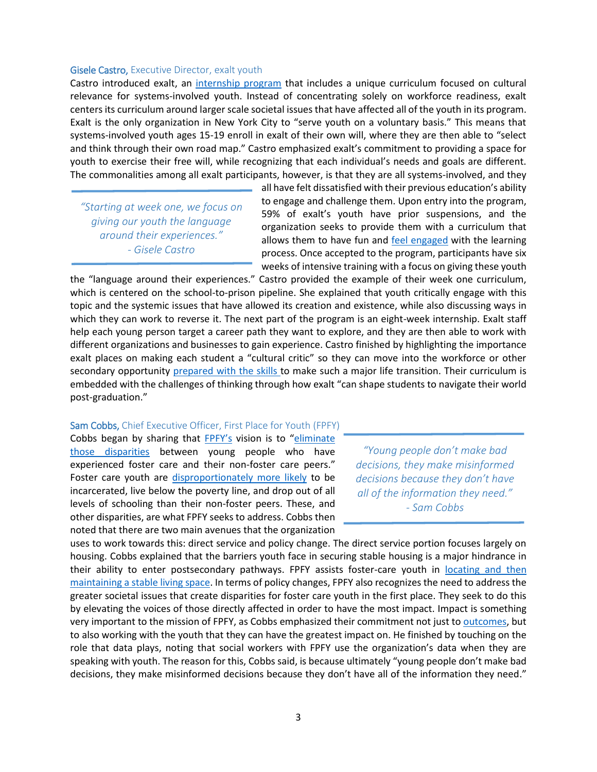#### Gisele Castro, Executive Director, exalt youth

Castro introduced exalt, an [internship program](http://exaltyouth.org/) that includes a unique curriculum focused on cultural relevance for systems-involved youth. Instead of concentrating solely on workforce readiness, exalt centers its curriculum around larger scale societal issues that have affected all of the youth in its program. Exalt is the only organization in New York City to "serve youth on a voluntary basis." This means that systems-involved youth ages 15-19 enroll in exalt of their own will, where they are then able to "select and think through their own road map." Castro emphasized exalt's commitment to providing a space for youth to exercise their free will, while recognizing that each individual's needs and goals are different. The commonalities among all exalt participants, however, is that they are all systems-involved, and they

*"Starting at week one, we focus on giving our youth the language around their experiences." - Gisele Castro*

all have felt dissatisfied with their previous education's ability to engage and challenge them. Upon entry into the program, 59% of exalt's youth have prior suspensions, and the organization seeks to provide them with a curriculum that allows them to have fun and [feel engaged](http://exaltyouth.org/vision/) with the learning process. Once accepted to the program, participants have six weeks of intensive training with a focus on giving these youth

the "language around their experiences." Castro provided the example of their week one curriculum, which is centered on the school-to-prison pipeline. She explained that youth critically engage with this topic and the systemic issues that have allowed its creation and existence, while also discussing ways in which they can work to reverse it. The next part of the program is an eight-week internship. Exalt staff help each young person target a career path they want to explore, and they are then able to work with different organizations and businesses to gain experience. Castro finished by highlighting the importance exalt places on making each student a "cultural critic" so they can move into the workforce or other secondary opportunity prepared [with the skills t](http://exaltyouth.org/program-overview/)o make such a major life transition. Their curriculum is embedded with the challenges of thinking through how exalt "can shape students to navigate their world post-graduation."

#### Sam Cobbs, Chief Executive Officer, First Place for Youth (FPFY)

Cobbs began by sharing that [FPFY's](http://www.firstplaceforyouth.org/) vision is to "eliminate [those disparities](http://www.firstplaceforyouth.org/what-we-do/the-issue/) between young people who have experienced foster care and their non-foster care peers." Foster care youth are [disproportionately more likely](http://www.firstplaceforyouth.org/what-we-do/the-issue/) to be incarcerated, live below the poverty line, and drop out of all levels of schooling than their non-foster peers. These, and other disparities, are what FPFY seeks to address. Cobbs then noted that there are two main avenues that the organization

*"Young people don't make bad decisions, they make misinformed decisions because they don't have all of the information they need." - Sam Cobbs*

uses to work towards this: direct service and policy change. The direct service portion focuses largely on housing. Cobbs explained that the barriers youth face in securing stable housing is a major hindrance in their ability to enter postsecondary pathways. FPFY assists foster-care youth in [locating and then](http://www.firstplaceforyouth.org/what-we-do/programs/first-place/)  [maintaining a stable living space.](http://www.firstplaceforyouth.org/what-we-do/programs/first-place/) In terms of policy changes, FPFY also recognizes the need to address the greater societal issues that create disparities for foster care youth in the first place. They seek to do this by elevating the voices of those directly affected in order to have the most impact. Impact is something very important to the mission of FPFY, as Cobbs emphasized their commitment not just to [outcomes,](http://www.firstplaceforyouth.org/our-impact/results/) but to also working with the youth that they can have the greatest impact on. He finished by touching on the role that data plays, noting that social workers with FPFY use the organization's data when they are speaking with youth. The reason for this, Cobbs said, is because ultimately "young people don't make bad decisions, they make misinformed decisions because they don't have all of the information they need."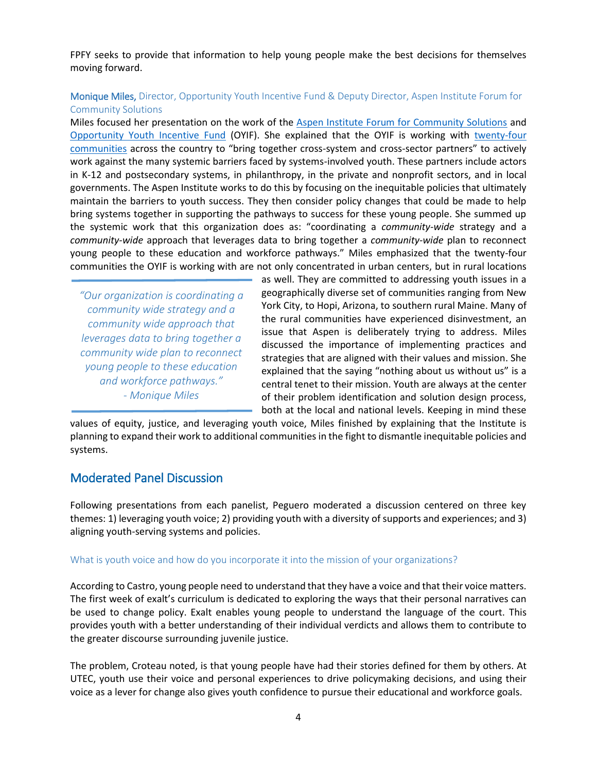FPFY seeks to provide that information to help young people make the best decisions for themselves moving forward.

## Monique Miles, Director, Opportunity Youth Incentive Fund & Deputy Director, Aspen Institute Forum for Community Solutions

Miles focused her presentation on the work of the [Aspen Institute Forum for Community Solutions](http://aspencommunitysolutions.org/) and [Opportunity Youth Incentive Fund](http://aspencommunitysolutions.org/the-fund/) (OYIF). She explained that the OYIF is working with [twenty-four](http://aspencommunitysolutions.org/the-fund/communities/)  [communities](http://aspencommunitysolutions.org/the-fund/communities/) across the country to "bring together cross-system and cross-sector partners" to actively work against the many systemic barriers faced by systems-involved youth. These partners include actors in K-12 and postsecondary systems, in philanthropy, in the private and nonprofit sectors, and in local governments. The Aspen Institute works to do this by focusing on the inequitable policies that ultimately maintain the barriers to youth success. They then consider policy changes that could be made to help bring systems together in supporting the pathways to success for these young people. She summed up the systemic work that this organization does as: "coordinating a *community-wide* strategy and a *community-wide* approach that leverages data to bring together a *community-wide* plan to reconnect young people to these education and workforce pathways." Miles emphasized that the twenty-four communities the OYIF is working with are not only concentrated in urban centers, but in rural locations

*"Our organization is coordinating a community wide strategy and a community wide approach that leverages data to bring together a community wide plan to reconnect young people to these education and workforce pathways." - Monique Miles* 

as well. They are committed to addressing youth issues in a geographically diverse set of communities ranging from New York City, to Hopi, Arizona, to southern rural Maine. Many of the rural communities have experienced disinvestment, an issue that Aspen is deliberately trying to address. Miles discussed the importance of implementing practices and strategies that are aligned with their values and mission. She explained that the saying "nothing about us without us" is a central tenet to their mission. Youth are always at the center of their problem identification and solution design process, both at the local and national levels. Keeping in mind these

values of equity, justice, and leveraging youth voice, Miles finished by explaining that the Institute is planning to expand their work to additional communities in the fight to dismantle inequitable policies and systems.

## Moderated Panel Discussion

Following presentations from each panelist, Peguero moderated a discussion centered on three key themes: 1) leveraging youth voice; 2) providing youth with a diversity of supports and experiences; and 3) aligning youth-serving systems and policies.

## What is youth voice and how do you incorporate it into the mission of your organizations?

According to Castro, young people need to understand that they have a voice and that their voice matters. The first week of exalt's curriculum is dedicated to exploring the ways that their personal narratives can be used to change policy. Exalt enables young people to understand the language of the court. This provides youth with a better understanding of their individual verdicts and allows them to contribute to the greater discourse surrounding juvenile justice.

The problem, Croteau noted, is that young people have had their stories defined for them by others. At UTEC, youth use their voice and personal experiences to drive policymaking decisions, and using their voice as a lever for change also gives youth confidence to pursue their educational and workforce goals.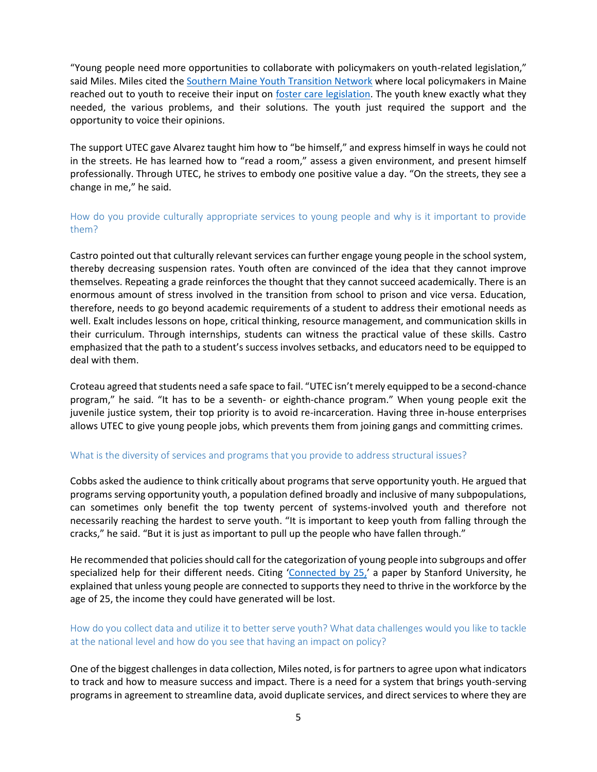"Young people need more opportunities to collaborate with policymakers on youth-related legislation," said Miles. Miles cited th[e Southern Maine Youth Transition Network](https://docs.google.com/file/d/0B-1fr4GSpQIvN3lQWDNYQ3ZZdjA/view) where local policymakers in Maine reached out to youth to receive their input on [foster care legislation.](http://www.mainelegislature.org/legis/bills/bills_126th/billtexts/HP120601.asp) The youth knew exactly what they needed, the various problems, and their solutions. The youth just required the support and the opportunity to voice their opinions.

The support UTEC gave Alvarez taught him how to "be himself," and express himself in ways he could not in the streets. He has learned how to "read a room," assess a given environment, and present himself professionally. Through UTEC, he strives to embody one positive value a day. "On the streets, they see a change in me," he said.

## How do you provide culturally appropriate services to young people and why is it important to provide them?

Castro pointed out that culturally relevant services can further engage young people in the school system, thereby decreasing suspension rates. Youth often are convinced of the idea that they cannot improve themselves. Repeating a grade reinforces the thought that they cannot succeed academically. There is an enormous amount of stress involved in the transition from school to prison and vice versa. Education, therefore, needs to go beyond academic requirements of a student to address their emotional needs as well. Exalt includes lessons on hope, critical thinking, resource management, and communication skills in their curriculum. Through internships, students can witness the practical value of these skills. Castro emphasized that the path to a student's success involves setbacks, and educators need to be equipped to deal with them.

Croteau agreed that students need a safe space to fail. "UTEC isn't merely equipped to be a second-chance program," he said. "It has to be a seventh- or eighth-chance program." When young people exit the juvenile justice system, their top priority is to avoid re-incarceration. Having three in-house enterprises allows UTEC to give young people jobs, which prevents them from joining gangs and committing crimes.

#### What is the diversity of services and programs that you provide to address structural issues?

Cobbs asked the audience to think critically about programs that serve opportunity youth. He argued that programs serving opportunity youth, a population defined broadly and inclusive of many subpopulations, can sometimes only benefit the top twenty percent of systems-involved youth and therefore not necessarily reaching the hardest to serve youth. "It is important to keep youth from falling through the cracks," he said. "But it is just as important to pull up the people who have fallen through."

He recommended that policies should call for the categorization of young people into subgroups and offer specialized help for their different needs. Citing '[Connected by 25,](https://www.hewlett.org/wp-content/uploads/2016/08/ConnectedBy25.pdf)' a paper by Stanford University, he explained that unless young people are connected to supports they need to thrive in the workforce by the age of 25, the income they could have generated will be lost.

## How do you collect data and utilize it to better serve youth? What data challenges would you like to tackle at the national level and how do you see that having an impact on policy?

One of the biggest challenges in data collection, Miles noted, is for partners to agree upon what indicators to track and how to measure success and impact. There is a need for a system that brings youth-serving programs in agreement to streamline data, avoid duplicate services, and direct services to where they are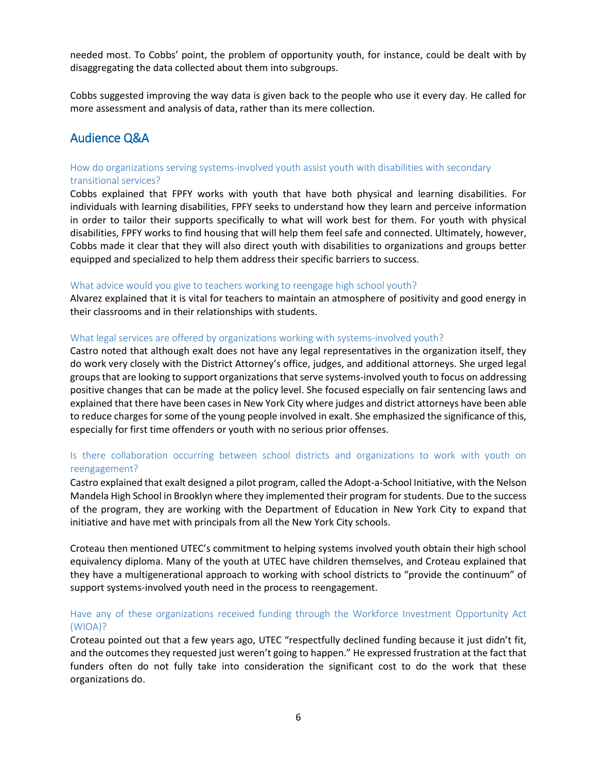needed most. To Cobbs' point, the problem of opportunity youth, for instance, could be dealt with by disaggregating the data collected about them into subgroups.

Cobbs suggested improving the way data is given back to the people who use it every day. He called for more assessment and analysis of data, rather than its mere collection.

## Audience Q&A

## How do organizations serving systems-involved youth assist youth with disabilities with secondary transitional services?

Cobbs explained that FPFY works with youth that have both physical and learning disabilities. For individuals with learning disabilities, FPFY seeks to understand how they learn and perceive information in order to tailor their supports specifically to what will work best for them. For youth with physical disabilities, FPFY works to find housing that will help them feel safe and connected. Ultimately, however, Cobbs made it clear that they will also direct youth with disabilities to organizations and groups better equipped and specialized to help them address their specific barriers to success.

#### What advice would you give to teachers working to reengage high school youth?

Alvarez explained that it is vital for teachers to maintain an atmosphere of positivity and good energy in their classrooms and in their relationships with students.

## What legal services are offered by organizations working with systems-involved youth?

Castro noted that although exalt does not have any legal representatives in the organization itself, they do work very closely with the District Attorney's office, judges, and additional attorneys. She urged legal groups that are looking to support organizationsthat serve systems-involved youth to focus on addressing positive changes that can be made at the policy level. She focused especially on fair sentencing laws and explained that there have been cases in New York City where judges and district attorneys have been able to reduce charges for some of the young people involved in exalt. She emphasized the significance of this, especially for first time offenders or youth with no serious prior offenses.

## Is there collaboration occurring between school districts and organizations to work with youth on reengagement?

Castro explained that exalt designed a pilot program, called the Adopt-a-School Initiative, with the Nelson Mandela High School in Brooklyn where they implemented their program for students. Due to the success of the program, they are working with the Department of Education in New York City to expand that initiative and have met with principals from all the New York City schools.

Croteau then mentioned UTEC's commitment to helping systems involved youth obtain their high school equivalency diploma. Many of the youth at UTEC have children themselves, and Croteau explained that they have a multigenerational approach to working with school districts to "provide the continuum" of support systems-involved youth need in the process to reengagement.

## Have any of these organizations received funding through the Workforce Investment Opportunity Act (WIOA)?

Croteau pointed out that a few years ago, UTEC "respectfully declined funding because it just didn't fit, and the outcomes they requested just weren't going to happen." He expressed frustration at the fact that funders often do not fully take into consideration the significant cost to do the work that these organizations do.